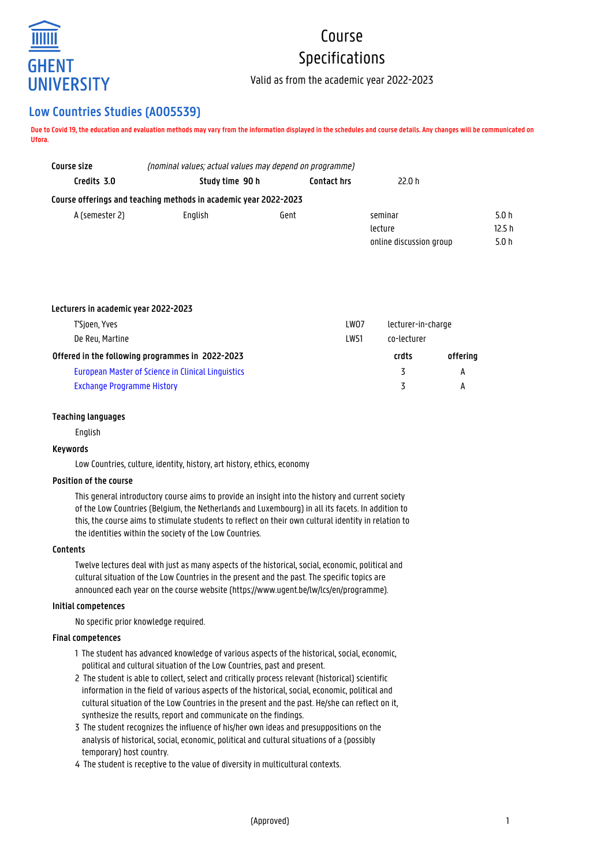

# Course Specifications

Valid as from the academic year 2022-2023

## **Low Countries Studies (A005539)**

**Due to Covid 19, the education and evaluation methods may vary from the information displayed in the schedules and course details. Any changes will be communicated on Ufora.**

| Course size    | (nominal values; actual values may depend on programme)          |      |                         |       |  |
|----------------|------------------------------------------------------------------|------|-------------------------|-------|--|
| Credits 3.0    | Study time 90 h<br>Contact hrs<br>22.0 h                         |      |                         |       |  |
|                | Course offerings and teaching methods in academic year 2022-2023 |      |                         |       |  |
| A (semester 2) | Enalish                                                          | Gent | seminar                 | 5.0h  |  |
|                |                                                                  |      | lecture                 | 12.5h |  |
|                |                                                                  |      | online discussion group | 5.0h  |  |

| Lecturers in academic year 2022-2023               |      |                    |          |
|----------------------------------------------------|------|--------------------|----------|
| T'Sjoen, Yves                                      | LW07 | lecturer-in-charge |          |
| De Reu, Martine                                    | LW51 | co-lecturer        |          |
| Offered in the following programmes in 2022-2023   |      | crdts              | offerina |
| European Master of Science in Clinical Linguistics |      |                    | А        |
| <b>Exchange Programme History</b>                  |      |                    | А        |

## **Teaching languages**

English

## **Keywords**

Low Countries, culture, identity, history, art history, ethics, economy

## **Position of the course**

This general introductory course aims to provide an insight into the history and current society of the Low Countries (Belgium, the Netherlands and Luxembourg) in all its facets. In addition to this, the course aims to stimulate students to reflect on their own cultural identity in relation to the identities within the society of the Low Countries.

## **Contents**

Twelve lectures deal with just as many aspects of the historical, social, economic, political and cultural situation of the Low Countries in the present and the past. The specific topics are announced each year on the course website (https://www.ugent.be/lw/lcs/en/programme).

## **Initial competences**

No specific prior knowledge required.

## **Final competences**

- 1 The student has advanced knowledge of various aspects of the historical, social, economic, political and cultural situation of the Low Countries, past and present.
- 2 The student is able to collect, select and critically process relevant (historical) scientific information in the field of various aspects of the historical, social, economic, political and cultural situation of the Low Countries in the present and the past. He/she can reflect on it, synthesize the results, report and communicate on the findings.
- 3 The student recognizes the influence of his/her own ideas and presuppositions on the analysis of historical, social, economic, political and cultural situations of a (possibly temporary) host country.
- 4 The student is receptive to the value of diversity in multicultural contexts.